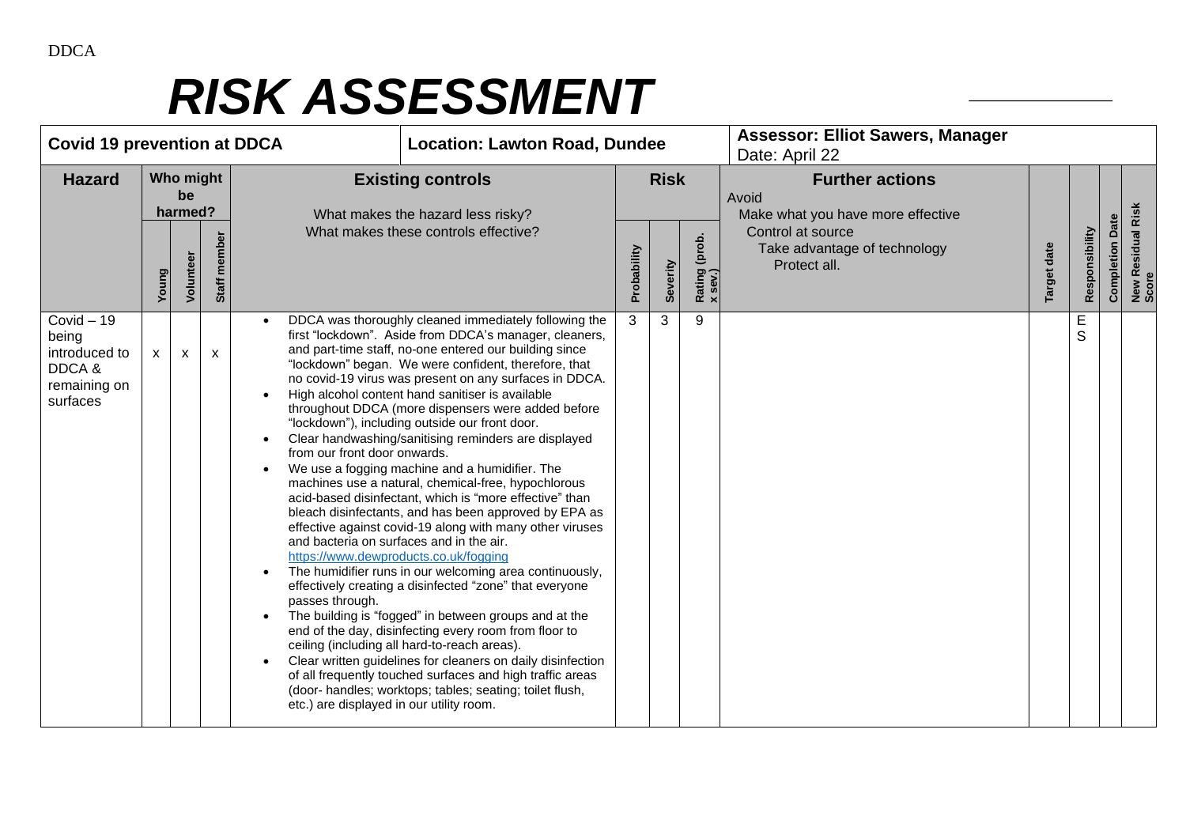| <b>Covid 19 prevention at DDCA</b>                                          |       |                                         |              |                                                                                                                                                                                                                                                                                                                                                                                                                                                                                                                                                                                                                                                                                                                                                                                                                                                                                                                                                                                                                                                                                                                                                                                                                                                                                                                                                                                                                                                                              | <b>Location: Lawton Road, Dundee</b> |                         |                          | <b>Assessor: Elliot Sawers, Manager</b><br>Date: April 22                                                                                 |                    |                |                        |                            |
|-----------------------------------------------------------------------------|-------|-----------------------------------------|--------------|------------------------------------------------------------------------------------------------------------------------------------------------------------------------------------------------------------------------------------------------------------------------------------------------------------------------------------------------------------------------------------------------------------------------------------------------------------------------------------------------------------------------------------------------------------------------------------------------------------------------------------------------------------------------------------------------------------------------------------------------------------------------------------------------------------------------------------------------------------------------------------------------------------------------------------------------------------------------------------------------------------------------------------------------------------------------------------------------------------------------------------------------------------------------------------------------------------------------------------------------------------------------------------------------------------------------------------------------------------------------------------------------------------------------------------------------------------------------------|--------------------------------------|-------------------------|--------------------------|-------------------------------------------------------------------------------------------------------------------------------------------|--------------------|----------------|------------------------|----------------------------|
| <b>Hazard</b>                                                               | Young | Who might<br>be<br>harmed?<br>Volunteer | Staff member | <b>Existing controls</b><br>What makes the hazard less risky?<br>What makes these controls effective?                                                                                                                                                                                                                                                                                                                                                                                                                                                                                                                                                                                                                                                                                                                                                                                                                                                                                                                                                                                                                                                                                                                                                                                                                                                                                                                                                                        |                                      | <b>Risk</b><br>Severity | Rating (prob.<br>x sev.) | <b>Further actions</b><br>Avoid<br>Make what you have more effective<br>Control at source<br>Take advantage of technology<br>Protect all. | <b>Target date</b> | Responsibility | <b>Completion Date</b> | New Residual Risk<br>Score |
| $Covid - 19$<br>being<br>introduced to<br>DDCA&<br>remaining on<br>surfaces | X.    | $\mathsf{x}$                            | $\mathsf{x}$ | DDCA was thoroughly cleaned immediately following the<br>first "lockdown". Aside from DDCA's manager, cleaners,<br>and part-time staff, no-one entered our building since<br>"lockdown" began. We were confident, therefore, that<br>no covid-19 virus was present on any surfaces in DDCA.<br>High alcohol content hand sanitiser is available<br>throughout DDCA (more dispensers were added before<br>"lockdown"), including outside our front door.<br>Clear handwashing/sanitising reminders are displayed<br>from our front door onwards.<br>We use a fogging machine and a humidifier. The<br>machines use a natural, chemical-free, hypochlorous<br>acid-based disinfectant, which is "more effective" than<br>bleach disinfectants, and has been approved by EPA as<br>effective against covid-19 along with many other viruses<br>and bacteria on surfaces and in the air.<br>https://www.dewproducts.co.uk/fogging<br>The humidifier runs in our welcoming area continuously,<br>effectively creating a disinfected "zone" that everyone<br>passes through.<br>The building is "fogged" in between groups and at the<br>end of the day, disinfecting every room from floor to<br>ceiling (including all hard-to-reach areas).<br>Clear written guidelines for cleaners on daily disinfection<br>of all frequently touched surfaces and high traffic areas<br>(door- handles; worktops; tables; seating; toilet flush,<br>etc.) are displayed in our utility room. | 3                                    | 3                       | 9                        |                                                                                                                                           |                    | Е<br>S         |                        |                            |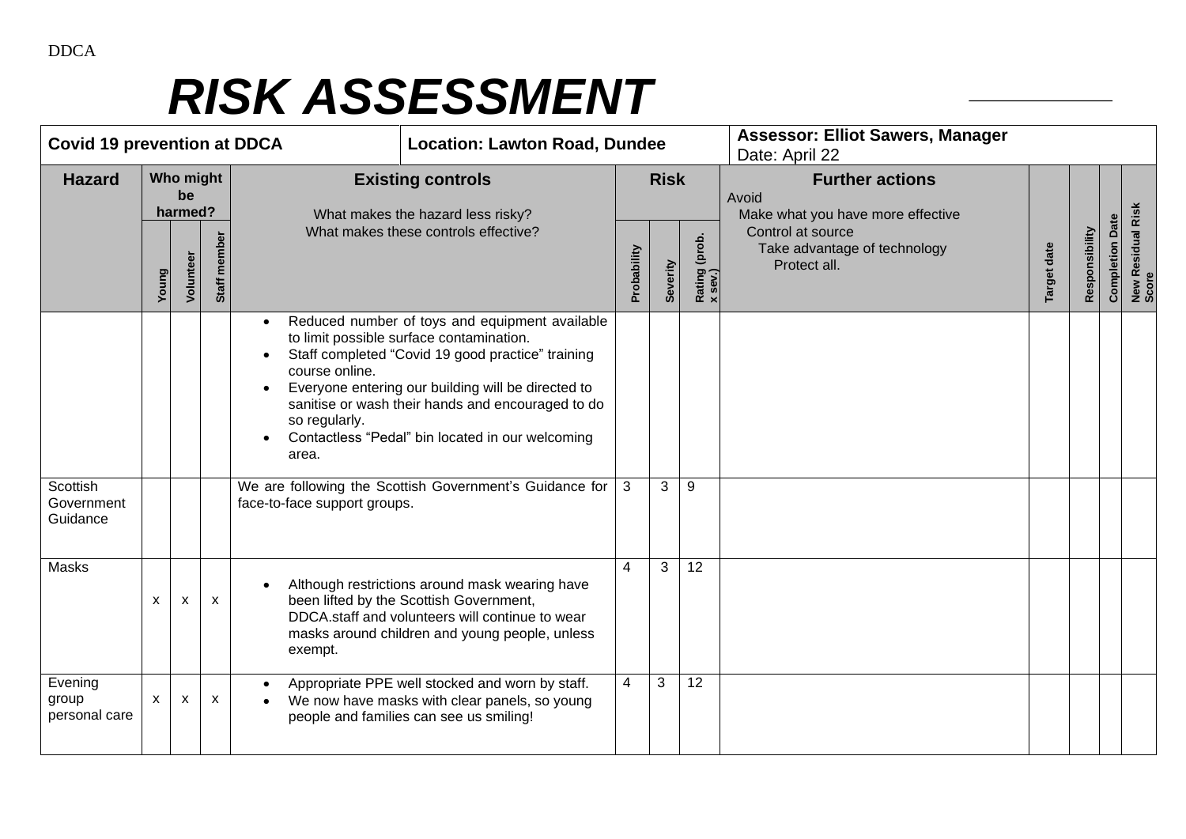| <b>Covid 19 prevention at DDCA</b> |                            |           |                           |                                                                                                                                                                                                                                                                                                                                                            | <b>Location: Lawton Road, Dundee</b> |                                                               |   |    | <b>Assessor: Elliot Sawers, Manager</b><br>Date: April 22         |             |                                                                      |                        |                            |  |  |
|------------------------------------|----------------------------|-----------|---------------------------|------------------------------------------------------------------------------------------------------------------------------------------------------------------------------------------------------------------------------------------------------------------------------------------------------------------------------------------------------------|--------------------------------------|---------------------------------------------------------------|---|----|-------------------------------------------------------------------|-------------|----------------------------------------------------------------------|------------------------|----------------------------|--|--|
| <b>Hazard</b>                      | Who might<br>be<br>harmed? |           |                           |                                                                                                                                                                                                                                                                                                                                                            |                                      | <b>Existing controls</b><br>What makes the hazard less risky? |   |    | <b>Risk</b>                                                       |             | <b>Further actions</b><br>Avoid<br>Make what you have more effective |                        |                            |  |  |
|                                    | Young                      | Volunteer | Staff member              | What makes these controls effective?                                                                                                                                                                                                                                                                                                                       |                                      | Rating (prob.<br>x sev.)<br>Probability<br>Severity           |   |    | Control at source<br>Take advantage of technology<br>Protect all. | Target date | Responsibility                                                       | <b>Completion Date</b> | New Residual Risk<br>Score |  |  |
|                                    |                            |           |                           | Reduced number of toys and equipment available<br>to limit possible surface contamination.<br>Staff completed "Covid 19 good practice" training<br>course online.<br>Everyone entering our building will be directed to<br>sanitise or wash their hands and encouraged to do<br>so regularly.<br>Contactless "Pedal" bin located in our welcoming<br>area. |                                      |                                                               |   |    |                                                                   |             |                                                                      |                        |                            |  |  |
| Scottish<br>Government<br>Guidance |                            |           |                           | We are following the Scottish Government's Guidance for<br>face-to-face support groups.                                                                                                                                                                                                                                                                    |                                      | 3                                                             | 3 | 9  |                                                                   |             |                                                                      |                        |                            |  |  |
| Masks                              | X                          | X         | $\boldsymbol{\mathsf{x}}$ | Although restrictions around mask wearing have<br>been lifted by the Scottish Government,<br>DDCA.staff and volunteers will continue to wear<br>masks around children and young people, unless<br>exempt.                                                                                                                                                  |                                      | $\overline{4}$                                                | 3 | 12 |                                                                   |             |                                                                      |                        |                            |  |  |
| Evening<br>group<br>personal care  | X                          | X         | X                         | Appropriate PPE well stocked and worn by staff.<br>We now have masks with clear panels, so young<br>people and families can see us smiling!                                                                                                                                                                                                                |                                      | $\overline{4}$                                                | 3 | 12 |                                                                   |             |                                                                      |                        |                            |  |  |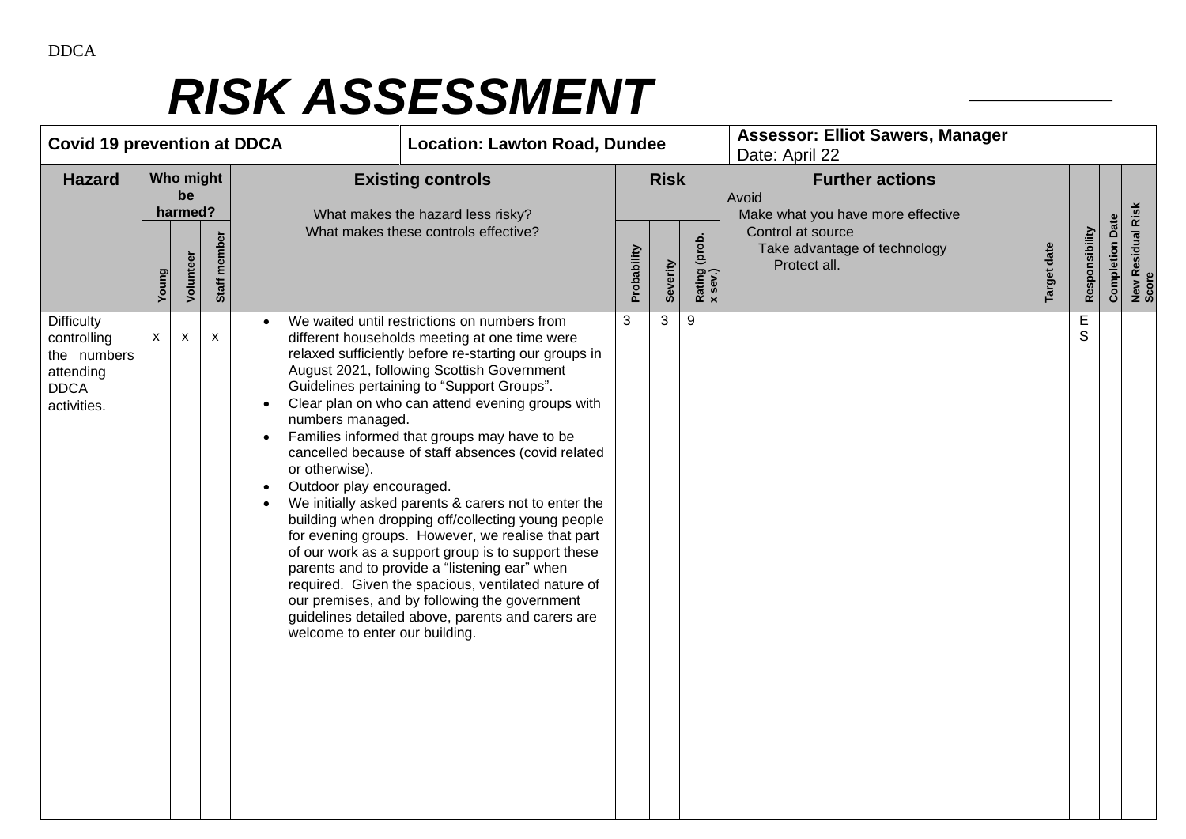| <b>Covid 19 prevention at DDCA</b>                                                         |                            |           |                                                                              |                                                                                                               | <b>Location: Lawton Road, Dundee</b>                                                                                                                                                                                                                                                                                                                                                                                                                                                                                                                                                                                                                                                                                                                                                                                                               |                                                                      |          |                          | <b>Assessor: Elliot Sawers, Manager</b><br>Date: April 22         |             |                |                        |                            |
|--------------------------------------------------------------------------------------------|----------------------------|-----------|------------------------------------------------------------------------------|---------------------------------------------------------------------------------------------------------------|----------------------------------------------------------------------------------------------------------------------------------------------------------------------------------------------------------------------------------------------------------------------------------------------------------------------------------------------------------------------------------------------------------------------------------------------------------------------------------------------------------------------------------------------------------------------------------------------------------------------------------------------------------------------------------------------------------------------------------------------------------------------------------------------------------------------------------------------------|----------------------------------------------------------------------|----------|--------------------------|-------------------------------------------------------------------|-------------|----------------|------------------------|----------------------------|
| <b>Hazard</b>                                                                              | Who might<br>be<br>harmed? |           | <b>Existing controls</b><br><b>Risk</b><br>What makes the hazard less risky? |                                                                                                               |                                                                                                                                                                                                                                                                                                                                                                                                                                                                                                                                                                                                                                                                                                                                                                                                                                                    | <b>Further actions</b><br>Avoid<br>Make what you have more effective |          |                          |                                                                   |             |                |                        |                            |
|                                                                                            | Young                      | Volunteer | Staff member                                                                 |                                                                                                               | What makes these controls effective?                                                                                                                                                                                                                                                                                                                                                                                                                                                                                                                                                                                                                                                                                                                                                                                                               |                                                                      | Severity | Rating (prob.<br>x sev.) | Control at source<br>Take advantage of technology<br>Protect all. | Target date | Responsibility | <b>Completion Date</b> | New Residual Risk<br>Score |
| <b>Difficulty</b><br>controlling<br>the numbers<br>attending<br><b>DDCA</b><br>activities. | $\mathsf{X}$               | X         | $\mathsf{x}$                                                                 | numbers managed.<br>$\bullet$<br>or otherwise).<br>Outdoor play encouraged.<br>welcome to enter our building. | We waited until restrictions on numbers from<br>different households meeting at one time were<br>relaxed sufficiently before re-starting our groups in<br>August 2021, following Scottish Government<br>Guidelines pertaining to "Support Groups".<br>Clear plan on who can attend evening groups with<br>Families informed that groups may have to be<br>cancelled because of staff absences (covid related<br>We initially asked parents & carers not to enter the<br>building when dropping off/collecting young people<br>for evening groups. However, we realise that part<br>of our work as a support group is to support these<br>parents and to provide a "listening ear" when<br>required. Given the spacious, ventilated nature of<br>our premises, and by following the government<br>guidelines detailed above, parents and carers are | 3                                                                    | 3        | 9                        |                                                                   |             | E<br>S         |                        |                            |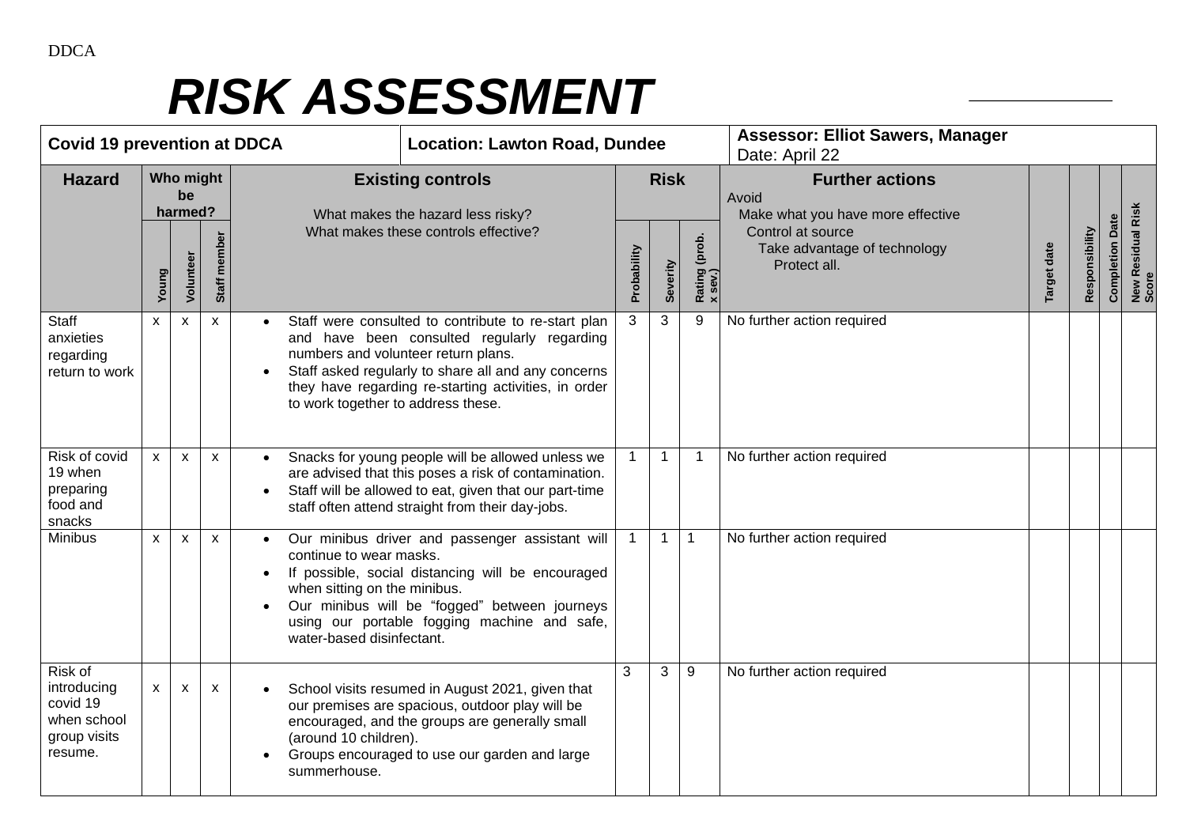| <b>Covid 19 prevention at DDCA</b>                                           |                            |                           |                          |                                                                                                                                                                                                                                                                                                | <b>Location: Lawton Road, Dundee</b>             |              |                          |                                                                      | <b>Assessor: Elliot Sawers, Manager</b><br>Date: April 22 |                |                        |                            |  |
|------------------------------------------------------------------------------|----------------------------|---------------------------|--------------------------|------------------------------------------------------------------------------------------------------------------------------------------------------------------------------------------------------------------------------------------------------------------------------------------------|--------------------------------------------------|--------------|--------------------------|----------------------------------------------------------------------|-----------------------------------------------------------|----------------|------------------------|----------------------------|--|
| <b>Hazard</b>                                                                | Who might<br>be<br>harmed? |                           | <b>Existing controls</b> |                                                                                                                                                                                                                                                                                                | <b>Risk</b><br>What makes the hazard less risky? |              |                          | <b>Further actions</b><br>Avoid<br>Make what you have more effective |                                                           |                |                        |                            |  |
|                                                                              | Young                      | Volunteer                 | Staff member             | What makes these controls effective?                                                                                                                                                                                                                                                           | Probability<br>Severity                          |              | Rating (prob.<br>x sev.) | Control at source<br>Take advantage of technology<br>Protect all.    | Target date                                               | Responsibility | <b>Completion Date</b> | New Residual Risk<br>Score |  |
| Staff<br>anxieties<br>regarding<br>return to work                            | $\mathsf{X}^-$             | $\mathbf{x}$              | $\mathsf{x}$             | Staff were consulted to contribute to re-start plan<br>and have been consulted regularly regarding<br>numbers and volunteer return plans.<br>Staff asked regularly to share all and any concerns<br>they have regarding re-starting activities, in order<br>to work together to address these. |                                                  | 3            | 3                        | 9                                                                    | No further action required                                |                |                        |                            |  |
| Risk of covid<br>19 when<br>preparing<br>food and<br>snacks                  | $\mathsf{x}$               | $\mathsf{x}$              | $\mathsf{x}$             | Snacks for young people will be allowed unless we<br>are advised that this poses a risk of contamination.<br>Staff will be allowed to eat, given that our part-time<br>$\bullet$<br>staff often attend straight from their day-jobs.                                                           |                                                  | $\mathbf{1}$ | $\mathbf{1}$             | $\mathbf{1}$                                                         | No further action required                                |                |                        |                            |  |
| <b>Minibus</b>                                                               | X                          | $\boldsymbol{\mathsf{x}}$ | $\mathsf{x}$             | Our minibus driver and passenger assistant will<br>continue to wear masks.<br>If possible, social distancing will be encouraged<br>when sitting on the minibus.<br>Our minibus will be "fogged" between journeys<br>using our portable fogging machine and safe,<br>water-based disinfectant.  |                                                  | $\mathbf{1}$ | $\mathbf{1}$             | $\mathbf 1$                                                          | No further action required                                |                |                        |                            |  |
| Risk of<br>introducing<br>covid 19<br>when school<br>group visits<br>resume. | $\mathsf{x}$               | $\mathsf{x}$              | $\mathsf{x}$             | School visits resumed in August 2021, given that<br>our premises are spacious, outdoor play will be<br>encouraged, and the groups are generally small<br>(around 10 children).<br>Groups encouraged to use our garden and large<br>$\bullet$<br>summerhouse.                                   |                                                  | 3            | 3                        | 9                                                                    | No further action required                                |                |                        |                            |  |